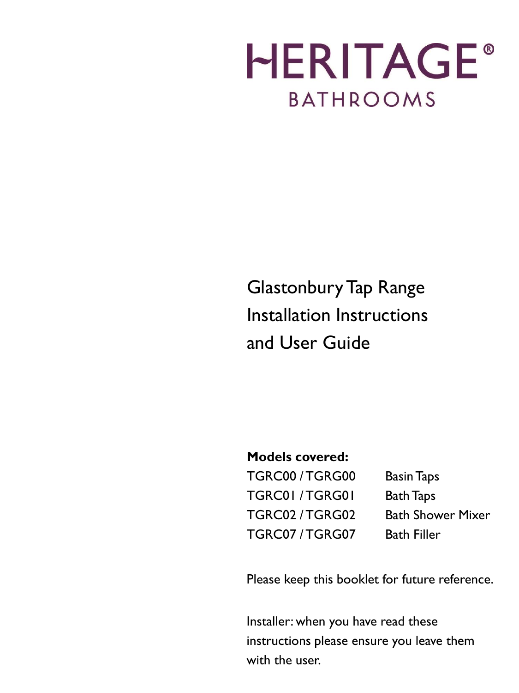# **HERITAGE® BATHROOMS**

# Glastonbury Tap Range Installation Instructions and User Guide

# **Models covered:**

TGRC00 / TGRG00 Basin Taps TGRC01 / TGRG01 Bath Taps TGRC02 / TGRG02 Bath Shower Mixer TGRC07 / TGRG07 Bath Filler

Please keep this booklet for future reference.

Installer: when you have read these instructions please ensure you leave them with the user.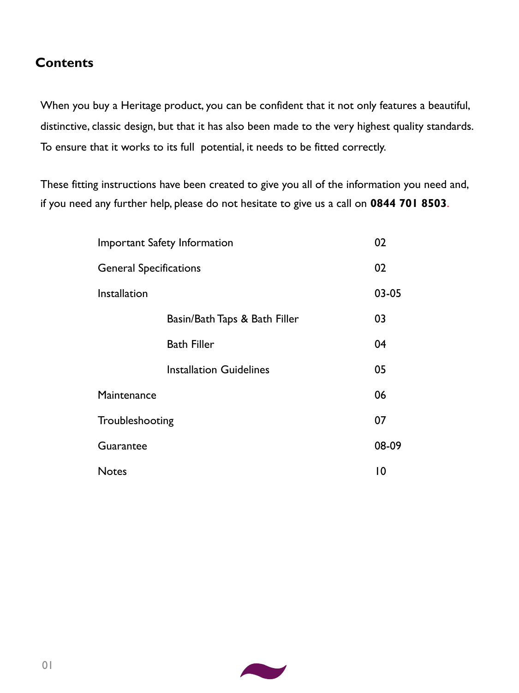# **Contents**

When you buy a Heritage product, you can be confident that it not only features a beautiful, distinctive, classic design, but that it has also been made to the very highest quality standards. To ensure that it works to its full potential, it needs to be fitted correctly.

These fitting instructions have been created to give you all of the information you need and, if you need any further help, please do not hesitate to give us a call on **0844 701 8503**.

| Important Safety Information  |                                |  | 02    |
|-------------------------------|--------------------------------|--|-------|
| <b>General Specifications</b> |                                |  | 02    |
| Installation                  |                                |  | 03-05 |
|                               | Basin/Bath Taps & Bath Filler  |  | 03    |
|                               | <b>Bath Filler</b>             |  | 04    |
|                               | <b>Installation Guidelines</b> |  | 05    |
| Maintenance                   |                                |  | 06    |
| Troubleshooting               |                                |  | 07    |
| Guarantee                     |                                |  | 08-09 |
| <b>Notes</b>                  |                                |  | 0     |

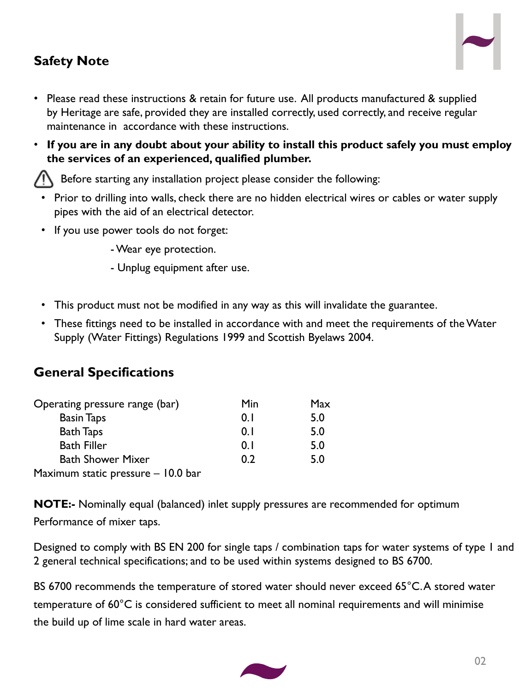# **Safety Note**



- Please read these instructions & retain for future use. All products manufactured & supplied by Heritage are safe, provided they are installed correctly, used correctly, and receive regular maintenance in accordance with these instructions.
- **If you are in any doubt about your ability to install this product safely you must employ the services of an experienced, qualified plumber.**

Before starting any installation project please consider the following:

- Prior to drilling into walls, check there are no hidden electrical wires or cables or water supply pipes with the aid of an electrical detector.
- If you use power tools do not forget:

-Wear eye protection.

- Unplug equipment after use.
- This product must not be modified in any way as this will invalidate the guarantee.
- These fittings need to be installed in accordance with and meet the requirements of the Water Supply (Water Fittings) Regulations 1999 and Scottish Byelaws 2004.

# **General Specifications**

| Operating pressure range (bar)     | Min | Max |
|------------------------------------|-----|-----|
| <b>Basin Taps</b>                  | 0.1 | 5.0 |
| <b>Bath Taps</b>                   | 0.1 | 5.0 |
| <b>Bath Filler</b>                 | 0.1 | 5.0 |
| <b>Bath Shower Mixer</b>           | 0.2 | 5.0 |
| Maximum static pressure - 10.0 bar |     |     |

**NOTE:-** Nominally equal (balanced) inlet supply pressures are recommended for optimum Performance of mixer taps.

Designed to comply with BS EN 200 for single taps / combination taps for water systems of type 1 and 2 general technical specifications; and to be used within systems designed to BS 6700.

BS 6700 recommends the temperature of stored water should never exceed 65°C. A stored water temperature of 60°C is considered sufficient to meet all nominal requirements and will minimise the build up of lime scale in hard water areas.

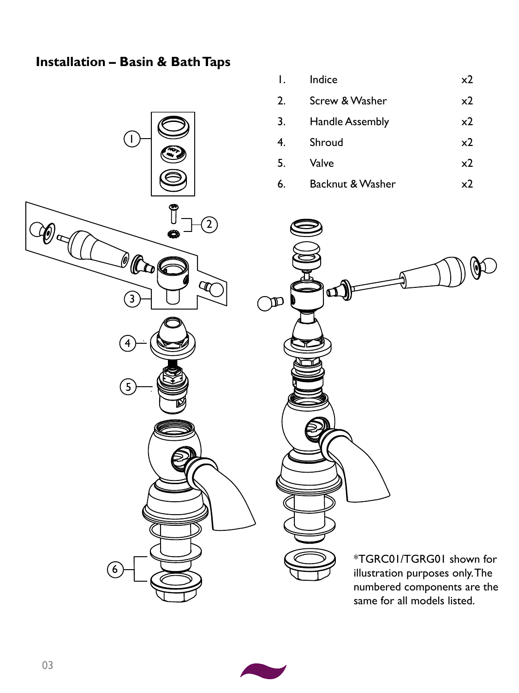# **Installation – Basin & Bath Taps**

1

| $\mathsf{I}$ . | Indice                      | x <sub>2</sub> |
|----------------|-----------------------------|----------------|
| 2.             | Screw & Washer              | x2             |
| 3.             | <b>Handle Assembly</b>      | x2             |
| 4.             | Shroud                      | x2             |
| 5.             | Valve                       | x2             |
| 6.             | <b>Backnut &amp; Washer</b> | x7             |



 $\mathbf{\varphi}$  $\mathbf{D}$  $\mathbb{R}$ \*TGRC01/TGRG01 shown for

illustration purposes only. The numbered components are the same for all models listed.

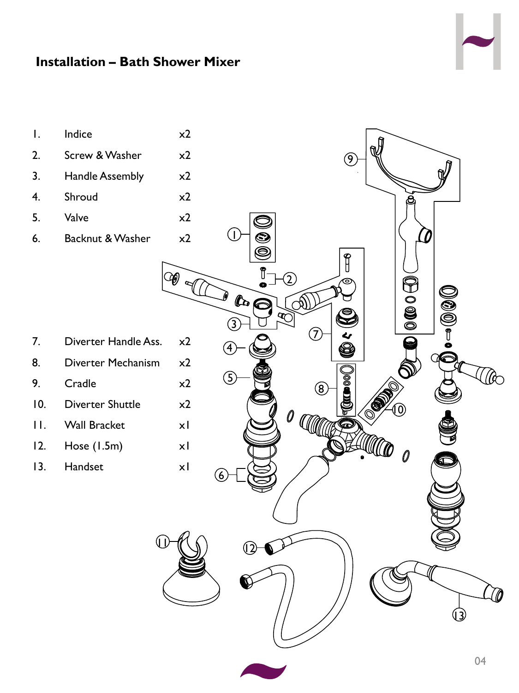

# **Installation – Bath Shower Mixer**



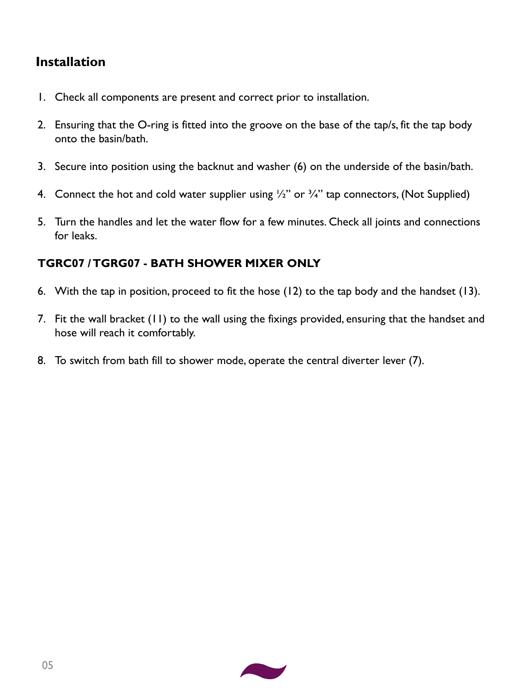# **Installation**

- 1. Check all components are present and correct prior to installation.
- 2. Ensuring that the O-ring is fitted into the groove on the base of the tap/s, fit the tap body onto the basin/bath.
- 3. Secure into position using the backnut and washer (6) on the underside of the basin/bath.
- 4. Connect the hot and cold water supplier using  $\frac{1}{2}$ " or  $\frac{3}{4}$ " tap connectors, (Not Supplied)
- 5. Turn the handles and let the water flow for a few minutes. Check all joints and connections for leaks.

#### **TGRC07 / TGRG07 - BATH SHOWER MIXER ONLY**

- 6. With the tap in position, proceed to fit the hose (12) to the tap body and the handset (13).
- 7. Fit the wall bracket (11) to the wall using the fixings provided, ensuring that the handset and hose will reach it comfortably.
- 8. To switch from bath fill to shower mode, operate the central diverter lever (7).

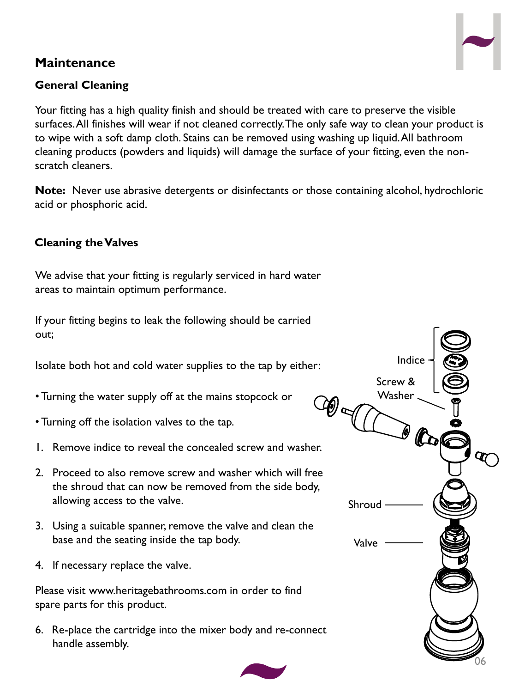# **Maintenance**



Your fitting has a high quality finish and should be treated with care to preserve the visible surfaces. All finishes will wear if not cleaned correctly. The only safe way to clean your product is to wipe with a soft damp cloth. Stains can be removed using washing up liquid. All bathroom cleaning products (powders and liquids) will damage the surface of your fitting, even the nonscratch cleaners.

**Note:** Never use abrasive detergents or disinfectants or those containing alcohol, hydrochloric acid or phosphoric acid.

#### **Cleaning the Valves**

We advise that your fitting is regularly serviced in hard water areas to maintain optimum performance.

If your fitting begins to leak the following should be carried out;

Isolate both hot and cold water supplies to the tap by either:

- Turning the water supply off at the mains stopcock or
- Turning off the isolation valves to the tap.
- 1. Remove indice to reveal the concealed screw and washer.
- 2. Proceed to also remove screw and washer which will free the shroud that can now be removed from the side body, allowing access to the valve.
- 3. Using a suitable spanner, remove the valve and clean the base and the seating inside the tap body.
- 4. If necessary replace the valve.

Please visit www.heritagebathrooms.com in order to find spare parts for this product.

6. Re-place the cartridge into the mixer body and re-connect handle assembly.



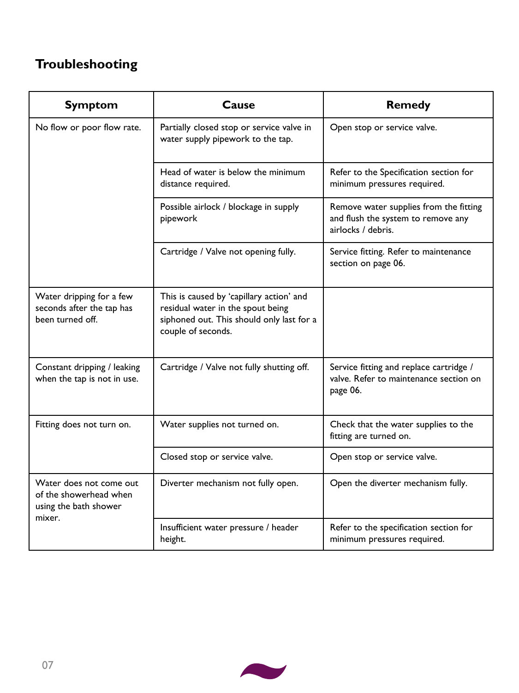# **Troubleshooting**

| <b>Symptom</b>                                                                       | Cause                                                                                                                                            | <b>Remedy</b>                                                                                      |  |
|--------------------------------------------------------------------------------------|--------------------------------------------------------------------------------------------------------------------------------------------------|----------------------------------------------------------------------------------------------------|--|
| No flow or poor flow rate.                                                           | Partially closed stop or service valve in<br>water supply pipework to the tap.                                                                   | Open stop or service valve.                                                                        |  |
|                                                                                      | Head of water is below the minimum<br>distance required.                                                                                         | Refer to the Specification section for<br>minimum pressures required.                              |  |
|                                                                                      | Possible airlock / blockage in supply<br>pipework                                                                                                | Remove water supplies from the fitting<br>and flush the system to remove any<br>airlocks / debris. |  |
|                                                                                      | Cartridge / Valve not opening fully.                                                                                                             | Service fitting. Refer to maintenance<br>section on page 06.                                       |  |
| Water dripping for a few<br>seconds after the tap has<br>been turned off.            | This is caused by 'capillary action' and<br>residual water in the spout being<br>siphoned out. This should only last for a<br>couple of seconds. |                                                                                                    |  |
| Constant dripping / leaking<br>when the tap is not in use.                           | Cartridge / Valve not fully shutting off.                                                                                                        | Service fitting and replace cartridge /<br>valve. Refer to maintenance section on<br>page 06.      |  |
| Fitting does not turn on.                                                            | Water supplies not turned on.                                                                                                                    | Check that the water supplies to the<br>fitting are turned on.                                     |  |
|                                                                                      | Closed stop or service valve.                                                                                                                    | Open stop or service valve.                                                                        |  |
| Water does not come out<br>of the showerhead when<br>using the bath shower<br>mixer. | Diverter mechanism not fully open.                                                                                                               | Open the diverter mechanism fully.                                                                 |  |
|                                                                                      | Insufficient water pressure / header<br>height.                                                                                                  | Refer to the specification section for<br>minimum pressures required.                              |  |

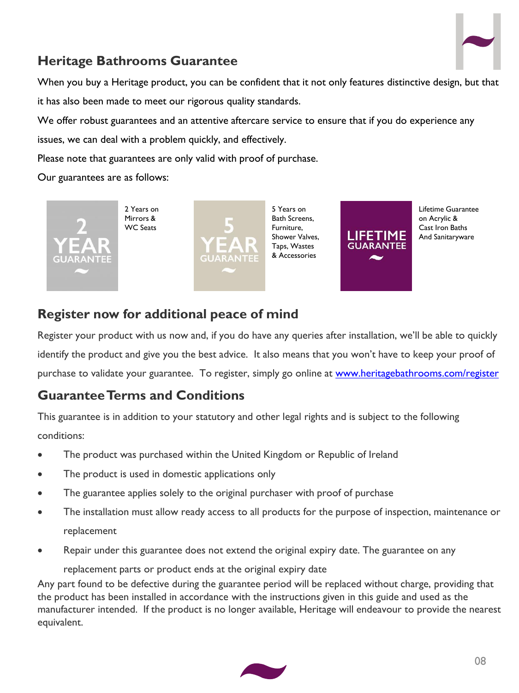

# **Heritage Bathrooms Guarantee**

When you buy a Heritage product, you can be confident that it not only features distinctive design, but that it has also been made to meet our rigorous quality standards.

We offer robust guarantees and an attentive aftercare service to ensure that if you do experience any

issues, we can deal with a problem quickly, and effectively.

Please note that guarantees are only valid with proof of purchase.

Our guarantees are as follows:



**Register now for additional peace of mind**

Register your product with us now and, if you do have any queries after installation, we'll be able to quickly identify the product and give you the best advice. It also means that you won't have to keep your proof of purchase to validate your guarantee. To register, simply go online at [www.heritagebathrooms.com/register](http://www.heritagebathrooms.com/register)

# **Guarantee Terms and Conditions**

This guarantee is in addition to your statutory and other legal rights and is subject to the following conditions:

- The product was purchased within the United Kingdom or Republic of Ireland
- The product is used in domestic applications only
- The guarantee applies solely to the original purchaser with proof of purchase
- The installation must allow ready access to all products for the purpose of inspection, maintenance or replacement
- Repair under this guarantee does not extend the original expiry date. The guarantee on any replacement parts or product ends at the original expiry date

Any part found to be defective during the guarantee period will be replaced without charge, providing that the product has been installed in accordance with the instructions given in this guide and used as the manufacturer intended. If the product is no longer available, Heritage will endeavour to provide the nearest equivalent.

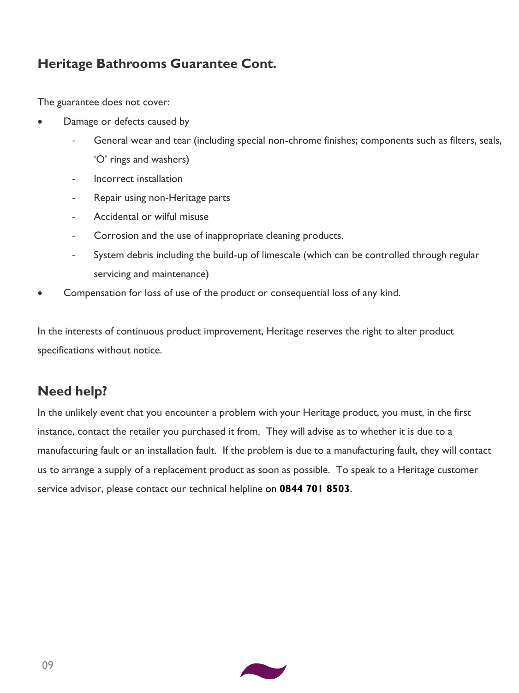# **Heritage Bathrooms Guarantee Cont.**

The guarantee does not cover:

- Damage or defects caused by
	- General wear and tear (including special non-chrome finishes; components such as filters, seals, 'O' rings and washers)
	- Incorrect installation
	- Repair using non-Heritage parts
	- Accidental or wilful misuse
	- Corrosion and the use of inappropriate cleaning products.
	- System debris including the build-up of limescale (which can be controlled through regular servicing and maintenance)
- Compensation for loss of use of the product or consequential loss of any kind.

In the interests of continuous product improvement, Heritage reserves the right to alter product specifications without notice.

# **Need help?**

In the unlikely event that you encounter a problem with your Heritage product, you must, in the first instance, contact the retailer you purchased it from. They will advise as to whether it is due to a manufacturing fault or an installation fault. If the problem is due to a manufacturing fault, they will contact us to arrange a supply of a replacement product as soon as possible. To speak to a Heritage customer service advisor, please contact our technical helpline on **0844 701 8503**.

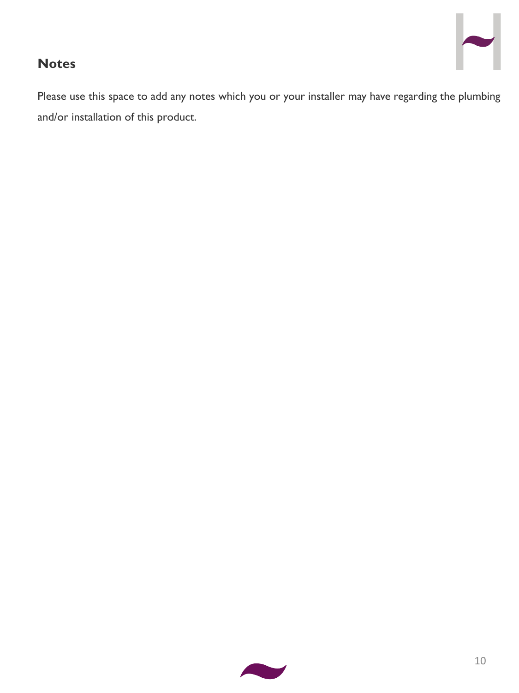# **Notes**

Please use this space to add any notes which you or your installer may have regarding the plumbing and/or installation of this product.